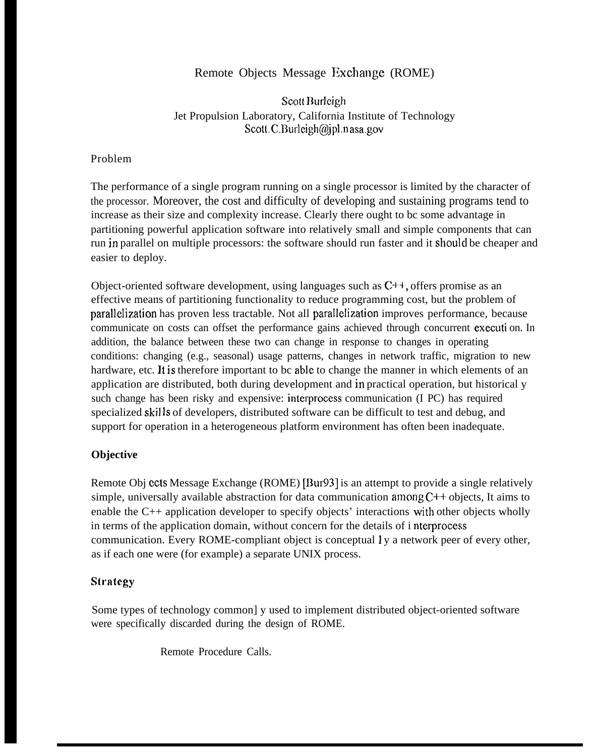# Remote Objects Message Exchange (ROME)

Scott Burleigh Jet Propulsion Laboratory, California Institute of Technology Scott. C.Burleigh@jpl.nasa.gov

# Problem

The performance of a single program running on a single processor is limited by the character of the processor. Moreover, the cost and difficulty of developing and sustaining programs tend to increase as their size and complexity increase. Clearly there ought to bc some advantage in partitioning powerful application software into relatively small and simple components that can run in parallel on multiple processors: the software should run faster and it should be cheaper and easier to deploy.

Object-oriented software development, using languages such as  $C^{++}$ , offers promise as an effective means of partitioning functionality to reduce programming cost, but the problem of parallelization has proven less tractable. Not all parallelization improves performance, because communicate on costs can offset the performance gains achieved through concurrent executi on. In addition, the balance between these two can change in response to changes in operating conditions: changing (e.g., seasonal) usage patterns, changes in network traffic, migration to new hardware, etc. It is therefore important to bc able to change the manner in which elements of an application are distributed, both during development and in practical operation, but historical y such change has been risky and expensive: intcrprocess communication (I PC) has required specialized skills of developers, distributed software can be difficult to test and debug, and support for operation in a heterogeneous platform environment has often been inadequate.

# **Objective**

Remote Obj ccts Message Exchange (ROME) [Bur93] is an attempt to provide a single relatively simple, universally available abstraction for data communication among  $C++$  objects, It aims to enable the C++ application developer to specify objects' interactions with other objects wholly in terms of the application domain, without concern for the details of i nterprocess communication. Every ROME-compliant object is conceptual 1 y a network peer of every other, as if each one were (for example) a separate UNIX process.

# **Siraicgy**

Some types of technology common] y used to implement distributed object-oriented software were specifically discarded during the design of ROME.

Remote Procedure Calls.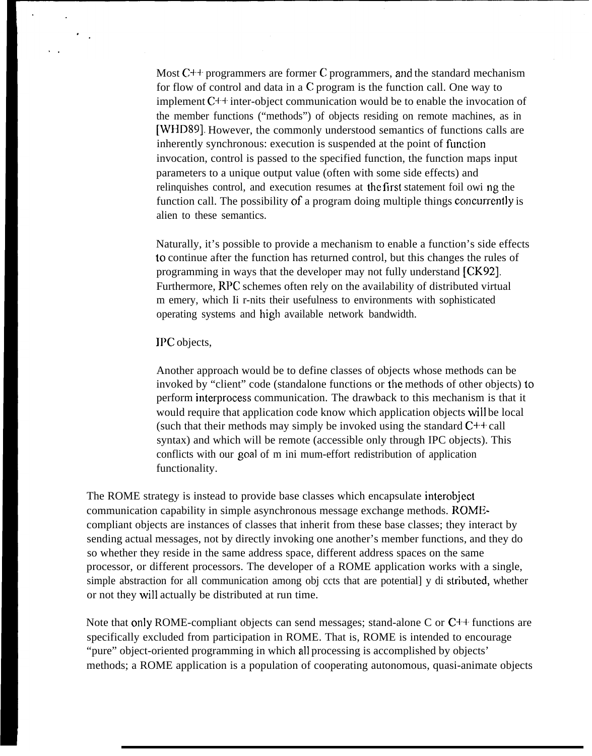Most  $C++$  programmers are former C programmers, and the standard mechanism for flow of control and data in a C program is the function call. One way to implement  $C^{++}$  inter-object communication would be to enable the invocation of the member functions ("methods") of objects residing on remote machines, as in [WHD89]. However, the commonly understood semantics of functions calls are inherently synchronous: execution is suspended at the point of function invocation, control is passed to the specified function, the function maps input parameters to a unique output value (often with some side effects) and relinquishes control, and execution resumes at the first statement foil owi ng the function call. The possibility of a program doing multiple things concurrently is alien to these semantics.

Naturally, it's possible to provide a mechanism to enable a function's side effects to continue after the function has returned control, but this changes the rules of programming in ways that the developer may not fully understand [CK92]. Furthermore, RPC schemes often rely on the availability of distributed virtual m emery, which Ii r-nits their usefulness to environments with sophisticated operating systems and high available network bandwidth.

#### IPC objects,

Another approach would be to define classes of objects whose methods can be invoked by "client" code (standalone functions or the methods of other objects) to perform interprocess communication. The drawback to this mechanism is that it would require that application code know which application objects will be local (such that their methods may simply be invoked using the standard  $C++$  call syntax) and which will be remote (accessible only through IPC objects). This conflicts with our goal of m ini mum-effort redistribution of application functionality.

The ROME strategy is instead to provide base classes which encapsulate interobject communication capability in simple asynchronous message exchange methods. ROMEcompliant objects are instances of classes that inherit from these base classes; they interact by sending actual messages, not by directly invoking one another's member functions, and they do so whether they reside in the same address space, different address spaces on the same processor, or different processors. The developer of a ROME application works with a single, simple abstraction for all communication among obj ccts that are potential] y di stributcd, whether or not they will actually be distributed at run time.

Note that only ROME-compliant objects can send messages; stand-alone C or  $C_{++}$  functions are specifically excluded from participation in ROME. That is, ROME is intended to encourage "pure" object-oriented programming in which all processing is accomplished by objects' methods; a ROME application is a population of cooperating autonomous, quasi-animate objects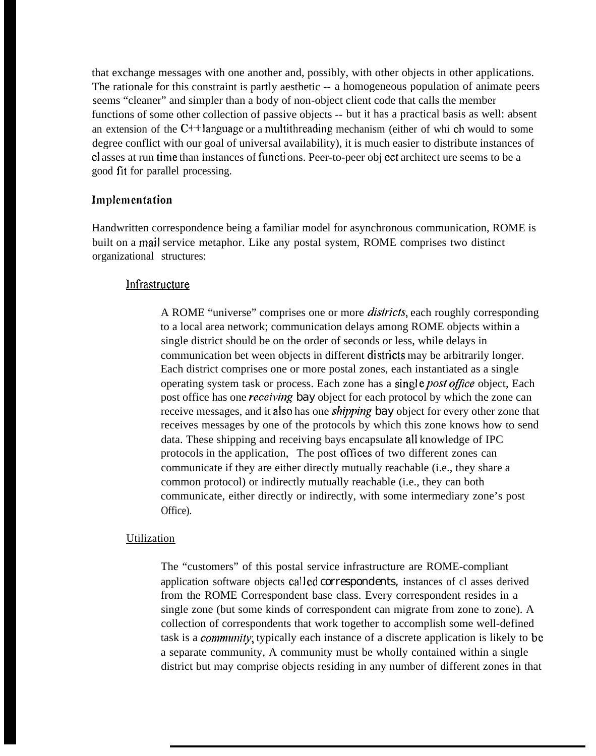that exchange messages with one another and, possibly, with other objects in other applications. The rationale for this constraint is partly aesthetic -- a homogeneous population of animate peers seems "cleaner" and simpler than a body of non-object client code that calls the member functions of some other collection of passive objects -- but it has a practical basis as well: absent an extension of the  $C^{++}$  language or a multithreading mechanism (either of whi ch would to some degree conflict with our goal of universal availability), it is much easier to distribute instances of c1 asses at run time than instances of functi ons. Peer-to-peer obj cct architect ure seems to be a good fit for parallel processing.

# Implementation

Handwritten correspondence being a familiar model for asynchronous communication, ROME is built on a mail service metaphor. Like any postal system, ROME comprises two distinct organizational structures:

# **Infrastructure**

A ROME "universe" comprises one or more *dis/ricis,* each roughly corresponding to a local area network; communication delays among ROME objects within a single district should be on the order of seconds or less, while delays in communication bet ween objects in different di stricts may be arbitrarily longer. Each district comprises one or more postal zones, each instantiated as a single operating system task or process. Each zone has a single *post office* object, Each post office has one *receiving bay* object for each protocol by which the zone can receive messages, and it also has one *shipping bay* object for every other zone that receives messages by one of the protocols by which this zone knows how to send data. These shipping and receiving bays encapsulate all knowledge of IPC protocols in the application, The post offlccs of two different zones can communicate if they are either directly mutually reachable (i.e., they share a common protocol) or indirectly mutually reachable (i.e., they can both communicate, either directly or indirectly, with some intermediary zone's post Office).

# Utilization

The "customers" of this postal service infrastructure are ROME-compliant application software objects called *correspondents*, instances of cl asses derived from the ROME Correspondent base class. Every correspondent resides in a single zone (but some kinds of correspondent can migrate from zone to zone). A collection of correspondents that work together to accomplish some well-defined task is a *comnmily;* typically each instance of a discrete application is likely to bc a separate community, A community must be wholly contained within a single district but may comprise objects residing in any number of different zones in that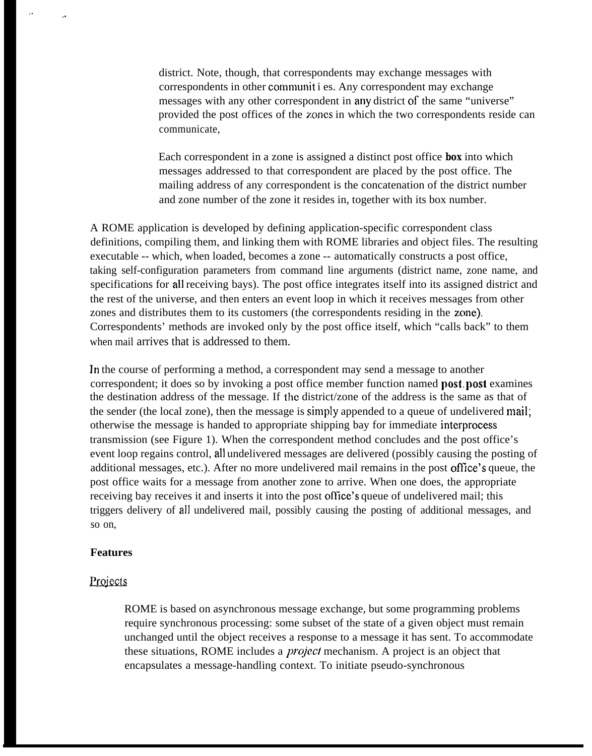district. Note, though, that correspondents may exchange messages with correspondents in other communit i es. Any correspondent may exchange messages with any other correspondent in any district of the same "universe" provided the post offices of the zones in which the two correspondents reside can communicate,

Each correspondent in a zone is assigned a distinct post office *box* into which messages addressed to that correspondent are placed by the post office. The mailing address of any correspondent is the concatenation of the district number and zone number of the zone it resides in, together with its box number.

A ROME application is developed by defining application-specific correspondent class definitions, compiling them, and linking them with ROME libraries and object files. The resulting executable -- which, when loaded, becomes a zone -- automatically constructs a post office, taking self-configuration parameters from command line arguments (district name, zone name, and specifications for all receiving bays). The post office integrates itself into its assigned district and the rest of the universe, and then enters an event loop in which it receives messages from other zones and distributes them to its customers (the correspondents residing in the zone). Correspondents' methods are invoked only by the post office itself, which "calls back" to them when mail arrives that is addressed to them.

In the course of performing a method, a correspondent may send a message to another correspondent; it does so by invoking a post office member function named **post, post** examines the destination address of the message. If the district/zone of the address is the same as that of the sender (the local zone), then the message is simply appended to a queue of undelivered mail; otherwise the message is handed to appropriate shipping bay for immediate interprocess transmission (see Figure 1). When the correspondent method concludes and the post office's event loop regains control, all undelivered messages are delivered (possibly causing the posting of additional messages, etc.). After no more undelivered mail remains in the post office's queue, the post office waits for a message from another zone to arrive. When one does, the appropriate receiving bay receives it and inserts it into the post office's queue of undelivered mail; this triggers delivery of all undelivered mail, possibly causing the posting of additional messages, and so on,

#### **Features**

,,

. .

# Projects

ROME is based on asynchronous message exchange, but some programming problems require synchronous processing: some subset of the state of a given object must remain unchanged until the object receives a response to a message it has sent. To accommodate these situations, ROME includes a *project* mechanism. A project is an object that encapsulates a message-handling context. To initiate pseudo-synchronous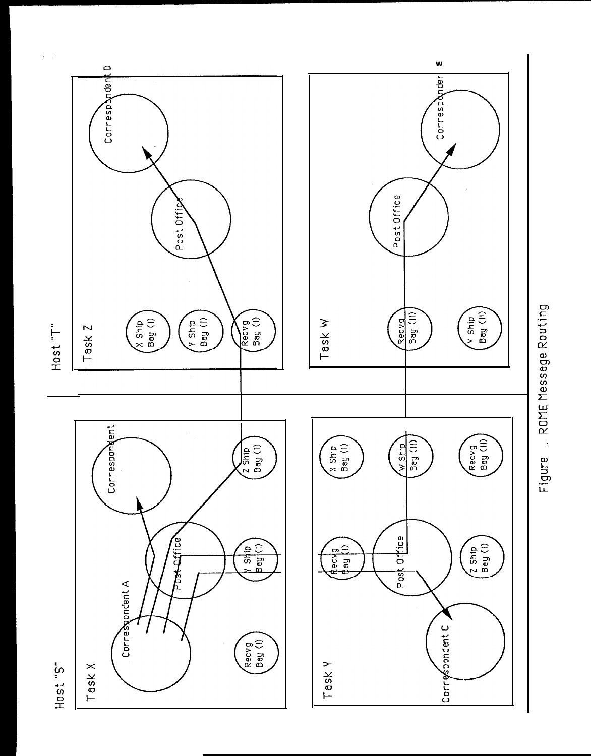

Figure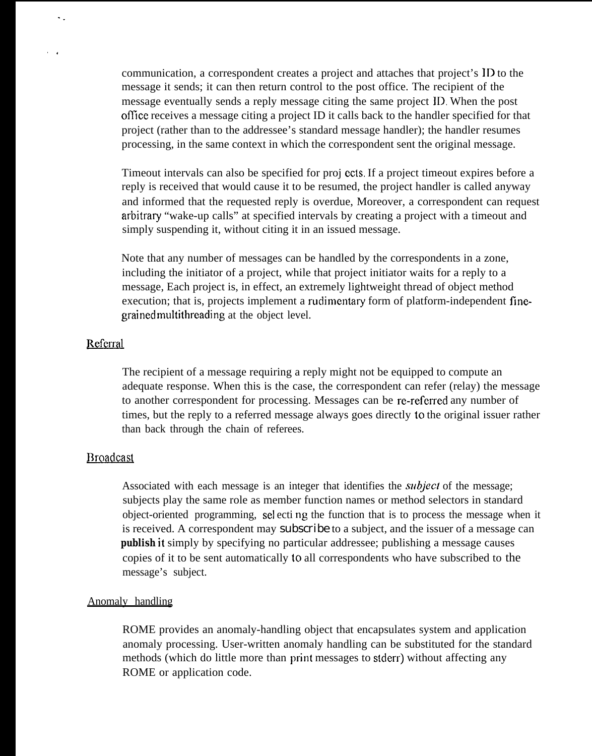communication, a correspondent creates a project and attaches that project's ID to the message it sends; it can then return control to the post office. The recipient of the message eventually sends a reply message citing the same project ID. When the post ofllce receives a message citing a project ID it calls back to the handler specified for that project (rather than to the addressee's standard message handler); the handler resumes processing, in the same context in which the correspondent sent the original message.

Timeout intervals can also be specified for proj ccts. If a project timeout expires before a reply is received that would cause it to be resumed, the project handler is called anyway and informed that the requested reply is overdue, Moreover, a correspondent can request arbitray "wake-up calls" at specified intervals by creating a project with a timeout and simply suspending it, without citing it in an issued message.

Note that any number of messages can be handled by the correspondents in a zone, including the initiator of a project, while that project initiator waits for a reply to a message, Each project is, in effect, an extremely lightweight thread of object method execution; that is, projects implement a rudimentary form of platform-independent finegrained multithreading at the object level.

## Referral

. .

,.

The recipient of a message requiring a reply might not be equipped to compute an adequate response. When this is the case, the correspondent can refer (relay) the message to another correspondent for processing. Messages can be re-referred any number of times, but the reply to a referred message always goes directly to the original issuer rather than back through the chain of referees.

#### **Broadcast**

Associated with each message is an integer that identifies the *subject* of the message; subjects play the same role as member function names or method selectors in standard object-oriented programming, selecting the function that is to process the message when it is received. A correspondent may *subscribe* to a subject, and the issuer of a message can **publish it** simply by specifying no particular addressee; publishing a message causes copies of it to be sent automatically to all correspondents who have subscribed to the message's subject.

#### Anomaly handling

ROME provides an anomaly-handling object that encapsulates system and application anomaly processing. User-written anomaly handling can be substituted for the standard methods (which do little more than print messages to stderr) without affecting any ROME or application code.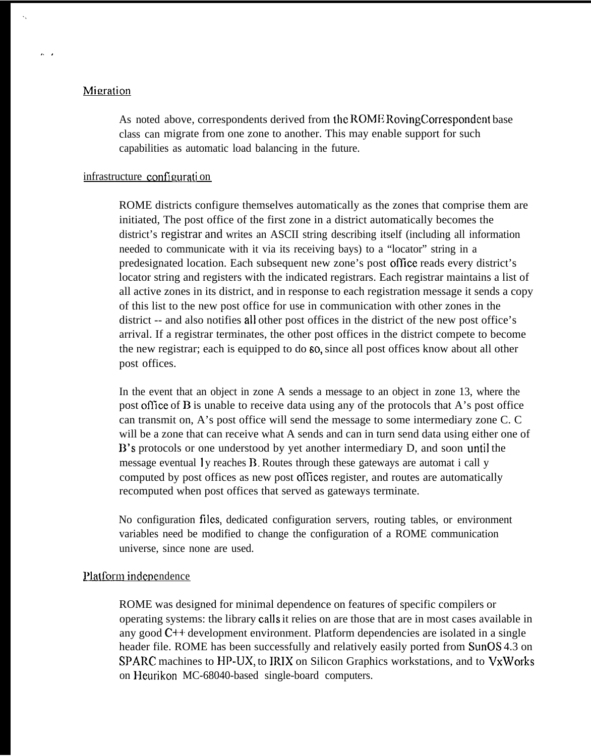# Migration

.,

 $\lambda$ 

As noted above, correspondents derived from the ROME RovingCorrespondent base class can migrate from one zone to another. This may enable support for such capabilities as automatic load balancing in the future.

#### infrastructure configuration

ROME districts configure themselves automatically as the zones that comprise them are initiated, The post office of the first zone in a district automatically becomes the district's registrar and writes an ASCII string describing itself (including all information needed to communicate with it via its receiving bays) to a "locator" string in a predesignated location. Each subsequent new zone's post office reads every district's locator string and registers with the indicated registrars. Each registrar maintains a list of all active zones in its district, and in response to each registration message it sends a copy of this list to the new post office for use in communication with other zones in the district -- and also notifies all other post offices in the district of the new post office's arrival. If a registrar terminates, the other post offices in the district compete to become the new registrar; each is equipped to do so, since all post offices know about all other post offices.

In the event that an object in zone A sends a message to an object in zone 13, where the post office of B is unable to receive data using any of the protocols that A's post office can transmit on, A's post office will send the message to some intermediary zone C. C will be a zone that can receive what A sends and can in turn send data using either one of B's protocols or one understood by yet another intermediary D, and soon until the message eventual 1y reaches B. Routes through these gateways are automat i call y computed by post offices as new post offices register, and routes are automatically recomputed when post offices that served as gateways terminate.

No configuration files, dedicated configuration servers, routing tables, or environment variables need be modified to change the configuration of a ROME communication universe, since none are used.

### Platform independence

ROME was designed for minimal dependence on features of specific compilers or operating systems: the library calls it relies on are those that are in most cases available in any good C++ development environment. Platform dependencies are isolated in a single header file. ROME has been successfully and relatively easily ported from SunOS 4.3 on SPARC machines to HP-UX, to IRIX on Silicon Graphics workstations, and to VxWorks on Heurikon MC-68040-based single-board computers.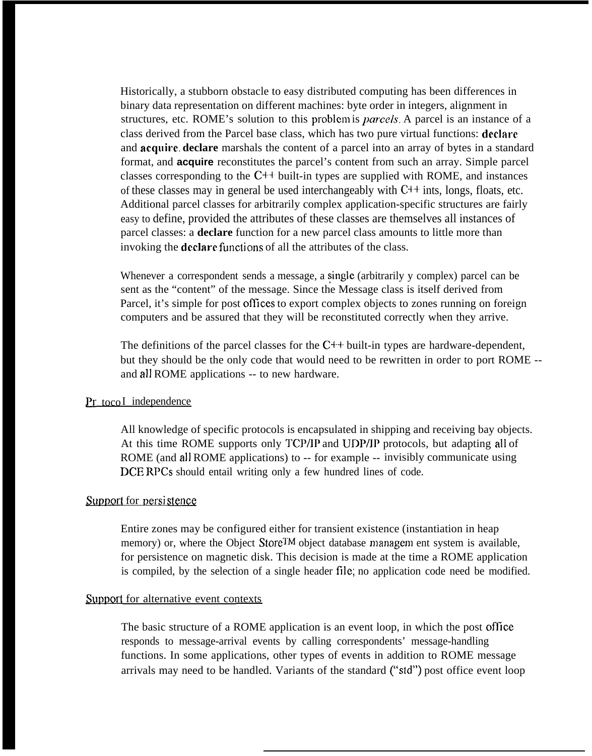Historically, a stubborn obstacle to easy distributed computing has been differences in binary data representation on different machines: byte order in integers, alignment in structures, etc. ROME's solution to this problcm is *parce/s.* A parcel is an instance of a class derived from the Parcel base class, which has two pure virtual functions: **dcclarc** and **acquire. declare** marshals the content of a parcel into an array of bytes in a standard format, and **acquire** reconstitutes the parcel's content from such an array. Simple parcel classes corresponding to the  $C++$  built-in types are supplied with ROME, and instances of these classes may in general be used interchangeably with  $C++$  ints, longs, floats, etc. Additional parcel classes for arbitrarily complex application-specific structures are fairly easy to define, provided the attributes of these classes are themselves all instances of parcel classes: a **declare** function for a new parcel class amounts to little more than invoking the **declare** functions of all the attributes of the class.

Whenever a correspondent sends a message, a single (arbitrarily y complex) parcel can be sent as the "content" of the message. Since the Message class is itself derived from Parcel, it's simple for post offices to export complex objects to zones running on foreign computers and be assured that they will be reconstituted correctly when they arrive.

The definitions of the parcel classes for the  $C++$  built-in types are hardware-dependent, but they should be the only code that would need to be rewritten in order to port ROME - and all ROME applications -- to new hardware.

#### **pr** tocoI independence

All knowledge of specific protocols is encapsulated in shipping and receiving bay objects. At this time ROME supports only TCP/IP and UDP/IP protocols, but adapting all of ROME (and all ROME applications) to -- for example -- invisibly communicate using DCE RPCs should entail writing only a few hundred lines of code.

# Support for persistence

Entire zones may be configured either for transient existence (instantiation in heap memory) or, where the Object Store<sup>TM</sup> object database managem ent system is available, for persistence on magnetic disk. This decision is made at the time a ROME application is compiled, by the selection of a single header file; no application code need be modified.

# Support for alternative event contexts

The basic structure of a ROME application is an event loop, in which the post ofllce responds to message-arrival events by calling correspondents' message-handling functions. In some applications, other types of events in addition to ROME message arrivals may need to be handled. Variants of the standard ("std") post office event loop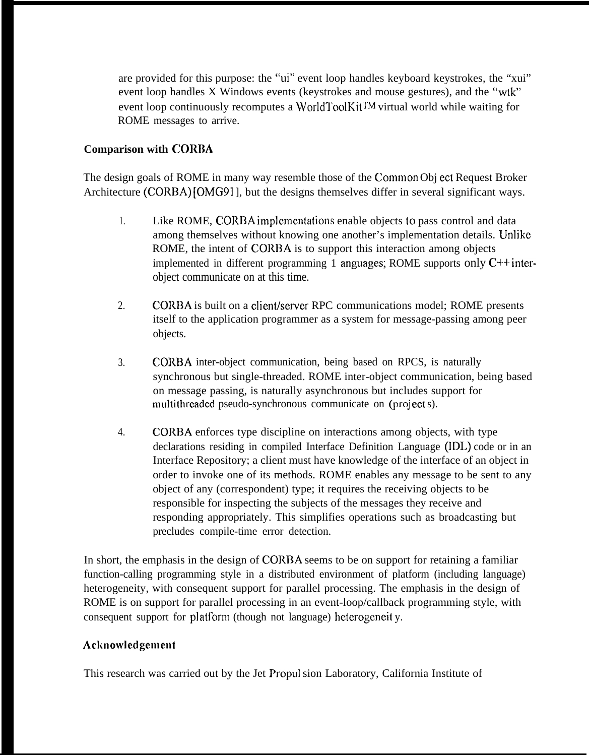are provided for this purpose: the "ui" event loop handles keyboard keystrokes, the "xui" event loop handles X Windows events (keystrokes and mouse gestures), and the "wtk" event loop continuously recomputes a WorldToolKit<sup>TM</sup> virtual world while waiting for ROME messages to arrive.

# **Comparison with CORBA**

The design goals of ROME in many way resemble those of the Common Obj ect Request Broker Architecture (CORBA) [OMG91], but the designs themselves differ in several significant ways.

- 1. Like ROME, CORBA implementations enable objects to pass control and data among themselves without knowing one another's implementation details. Unlike ROME, the intent of CORRA is to support this interaction among objects implemented in different programming 1 anguages; ROME supports only  $C^{++}$  interobject communicate on at this time.
- 2. CORBA is built on a client/server RPC communications model; ROME presents itself to the application programmer as a system for message-passing among peer objects.
- 3. CORBA inter-object communication, being based on RPCS, is naturally synchronous but single-threaded. ROME inter-object communication, being based on message passing, is naturally asynchronous but includes support for multithreaded pseudo-synchronous communicate on (project s).
- 4. CORBA enforces type discipline on interactions among objects, with type declarations residing in compiled Interface Definition Language (IDL) code or in an Interface Repository; a client must have knowledge of the interface of an object in order to invoke one of its methods. ROME enables any message to be sent to any object of any (correspondent) type; it requires the receiving objects to be responsible for inspecting the subjects of the messages they receive and responding appropriately. This simplifies operations such as broadcasting but precludes compile-time error detection.

In short, the emphasis in the design of CORBA seems to be on support for retaining a familiar function-calling programming style in a distributed environment of platform (including language) heterogeneity, with consequent support for parallel processing. The emphasis in the design of ROME is on support for parallel processing in an event-loop/callback programming style, with consequent support for platform (though not language) heterogeneity.

# **Acknowlcdgcmcnt**

This research was carried out by the Jet Propul sion Laboratory, California Institute of